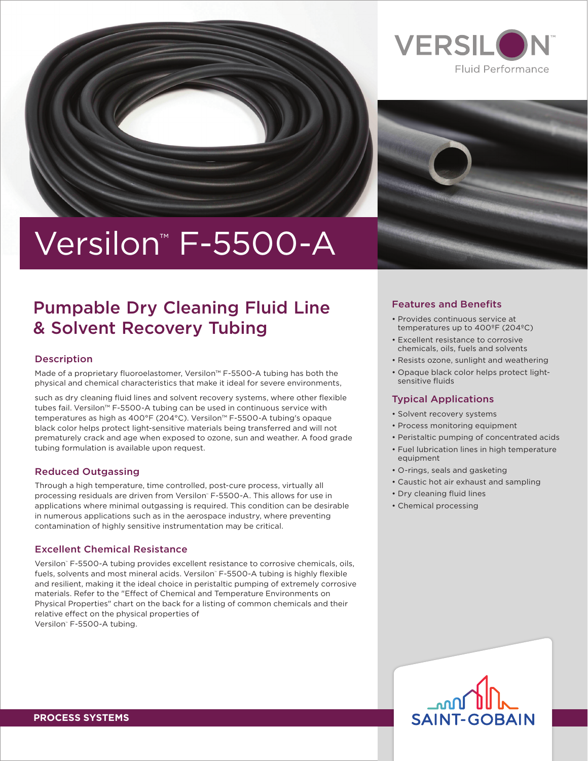





# Versilon<sup>™</sup> F-5500-A

### Pumpable Dry Cleaning Fluid Line & Solvent Recovery Tubing

### Description

Made of a proprietary fluoroelastomer, Versilon™ F-5500-A tubing has both the physical and chemical characteristics that make it ideal for severe environments,

such as dry cleaning fluid lines and solvent recovery systems, where other flexible tubes fail. Versilon™ F-5500-A tubing can be used in continuous service with temperatures as high as 400°F (204°C). Versilon™ F-5500-A tubing's opaque black color helps protect light-sensitive materials being transferred and will not prematurely crack and age when exposed to ozone, sun and weather. A food grade tubing formulation is available upon request.

### Reduced Outgassing

Through a high temperature, time controlled, post-cure process, virtually all processing residuals are driven from Versilon™ F-5500-A. This allows for use in applications where minimal outgassing is required. This condition can be desirable in numerous applications such as in the aerospace industry, where preventing contamination of highly sensitive instrumentation may be critical.

### Excellent Chemical Resistance

Versilon™ F-5500-A tubing provides excellent resistance to corrosive chemicals, oils, fuels, solvents and most mineral acids. Versilon™ F-5500-A tubing is highly flexible and resilient, making it the ideal choice in peristaltic pumping of extremely corrosive materials. Refer to the "Effect of Chemical and Temperature Environments on Physical Properties" chart on the back for a listing of common chemicals and their relative effect on the physical properties of Versilon™ F-5500-A tubing.

### Features and Benefits

- Provides continuous service at temperatures up to 400ºF (204ºC)
- Excellent resistance to corrosive chemicals, oils, fuels and solvents
- Resists ozone, sunlight and weathering
- Opaque black color helps protect lightsensitive fluids

### Typical Applications

- Solvent recovery systems
- Process monitoring equipment
- Peristaltic pumping of concentrated acids
- Fuel lubrication lines in high temperature equipment
- O-rings, seals and gasketing
- Caustic hot air exhaust and sampling
- Dry cleaning fluid lines
- Chemical processing